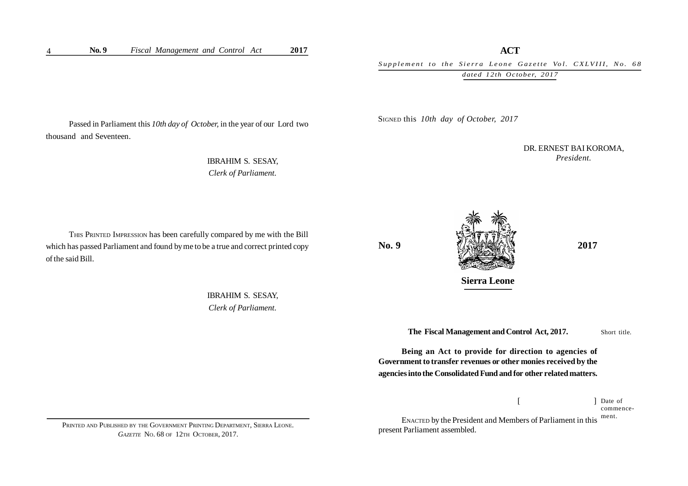## **ACT**

Supplement to the Sierra Leone Gazette Vol. CXLVIII, No. 68 *dated 12th October, 2017*

Passed in Parliament this *10th day of October,* in the year of our Lord two thousand and Seventeen.

> IBRAHIM S. SESAY, *Clerk of Parliament.*

THIS PRINTED IMPRESSION has been carefully compared by me with the Bill which has passed Parliament and found by me to be a true and correct printed copy of the said Bill.

> IBRAHIM S. SESAY, *Clerk of Parliament.*

SIGNED this *10th day of October, 2017*

DR. ERNEST BAI KOROMA, *President.*

**No. 9** *LANSIMARY* **2017** 

**Sierra Leone**

Short title. **The Fiscal Management and Control Act, 2017.**

**Being an Act to provide for direction to agencies of Government to transfer revenues or other monies received by the agencies into the Consolidated Fund and for other related matters.**

> $[$   $]$ 1 Date of commence-

ENACTED by the President and Members of Parliament in this present Parliament assembled. ment.

PRINTED AND PUBLISHED BY THE GOVERNMENT PRINTING DEPARTMENT, SIERRA LEONE. *GAZETTE* NO. 68 OF 12TH OCTOBER, 2017.

4